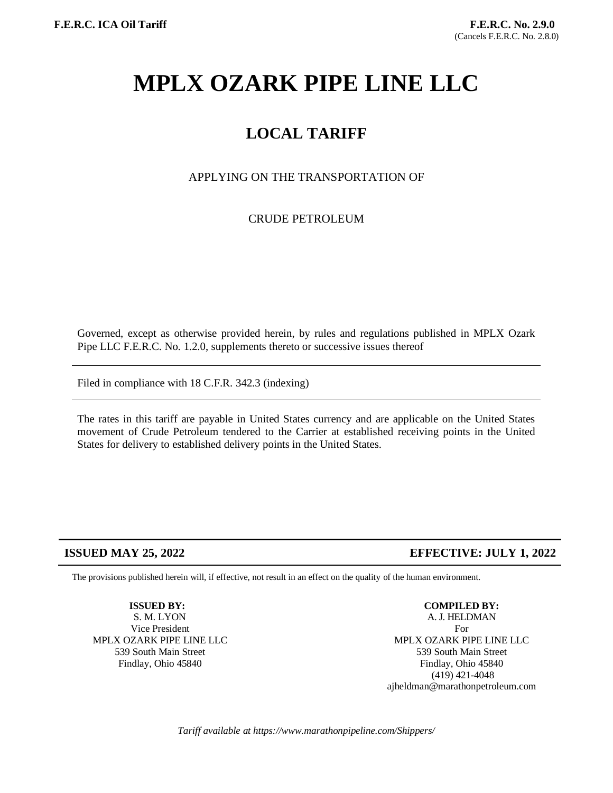# **MPLX OZARK PIPE LINE LLC**

## **LOCAL TARIFF**

APPLYING ON THE TRANSPORTATION OF

CRUDE PETROLEUM

Governed, except as otherwise provided herein, by rules and regulations published in MPLX Ozark Pipe LLC F.E.R.C. No. 1.2.0, supplements thereto or successive issues thereof

Filed in compliance with 18 C.F.R. 342.3 (indexing)

The rates in this tariff are payable in United States currency and are applicable on the United States movement of Crude Petroleum tendered to the Carrier at established receiving points in the United States for delivery to established delivery points in the United States.

#### **ISSUED MAY 25, 2022 EFFECTIVE: JULY 1, 2022**

The provisions published herein will, if effective, not result in an effect on the quality of the human environment.

**ISSUED BY:**

S. M. LYON Vice President MPLX OZARK PIPE LINE LLC 539 South Main Street Findlay, Ohio 45840

**COMPILED BY:**

A. J. HELDMAN For MPLX OZARK PIPE LINE LLC 539 South Main Street Findlay, Ohio 45840 (419) 421-4048 ajheldman@marathonpetroleum.com

*Tariff available at https://www.marathonpipeline.com/Shippers/*